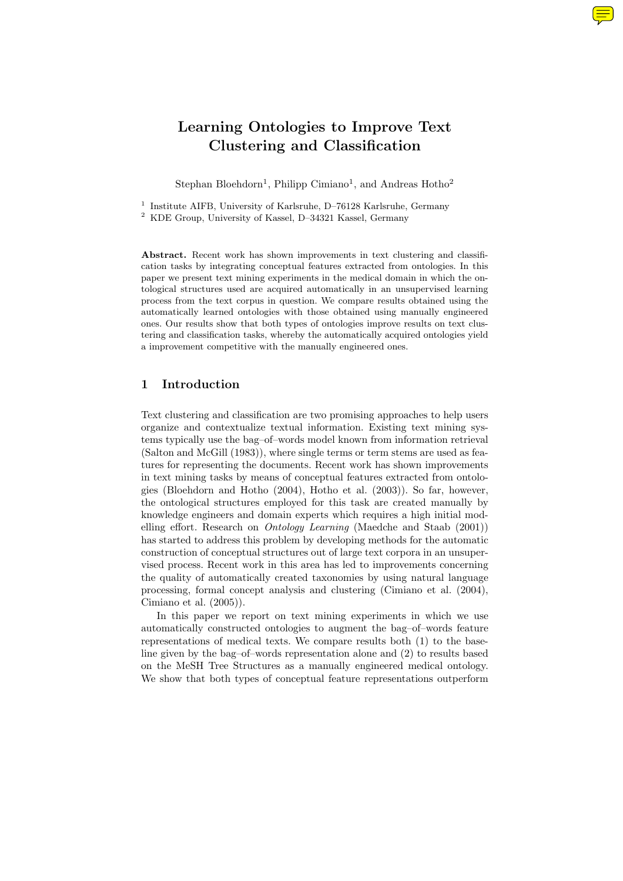# Learning Ontologies to Improve Text Clustering and Classification

Stephan Bloehdorn<sup>1</sup>, Philipp Cimiano<sup>1</sup>, and Andreas Hotho<sup>2</sup>

<sup>1</sup> Institute AIFB, University of Karlsruhe, D-76128 Karlsruhe, Germany <sup>2</sup> KDE Group, University of Kassel, D–34321 Kassel, Germany

Abstract. Recent work has shown improvements in text clustering and classification tasks by integrating conceptual features extracted from ontologies. In this paper we present text mining experiments in the medical domain in which the ontological structures used are acquired automatically in an unsupervised learning process from the text corpus in question. We compare results obtained using the automatically learned ontologies with those obtained using manually engineered ones. Our results show that both types of ontologies improve results on text clustering and classification tasks, whereby the automatically acquired ontologies yield a improvement competitive with the manually engineered ones.

# 1 Introduction

Text clustering and classification are two promising approaches to help users organize and contextualize textual information. Existing text mining systems typically use the bag–of–words model known from information retrieval (Salton and McGill (1983)), where single terms or term stems are used as features for representing the documents. Recent work has shown improvements in text mining tasks by means of conceptual features extracted from ontologies (Bloehdorn and Hotho (2004), Hotho et al. (2003)). So far, however, the ontological structures employed for this task are created manually by knowledge engineers and domain experts which requires a high initial modelling effort. Research on Ontology Learning (Maedche and Staab (2001)) has started to address this problem by developing methods for the automatic construction of conceptual structures out of large text corpora in an unsupervised process. Recent work in this area has led to improvements concerning the quality of automatically created taxonomies by using natural language processing, formal concept analysis and clustering (Cimiano et al. (2004), Cimiano et al. (2005)).

In this paper we report on text mining experiments in which we use automatically constructed ontologies to augment the bag–of–words feature representations of medical texts. We compare results both (1) to the baseline given by the bag–of–words representation alone and (2) to results based on the MeSH Tree Structures as a manually engineered medical ontology. We show that both types of conceptual feature representations outperform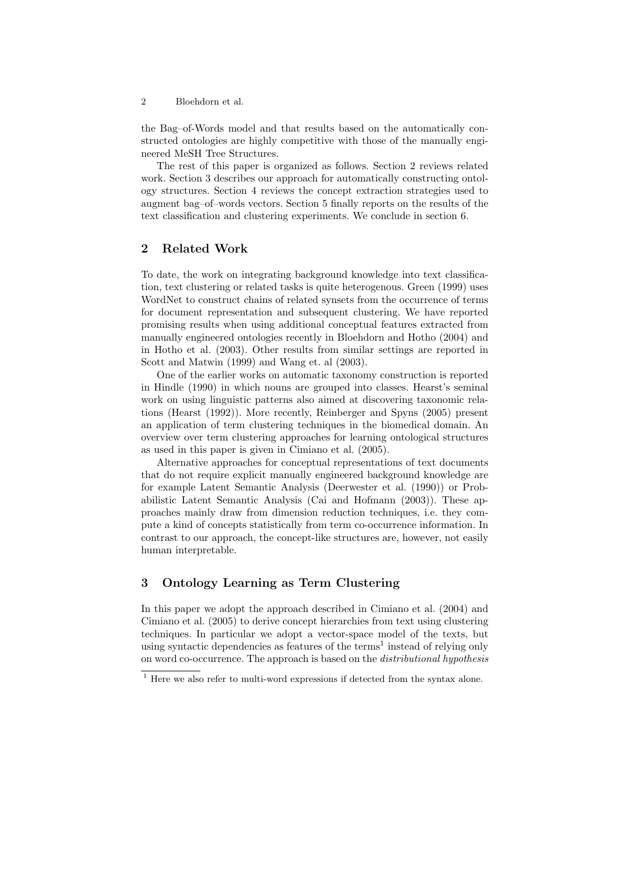the Bag–of-Words model and that results based on the automatically constructed ontologies are highly competitive with those of the manually engineered MeSH Tree Structures.

The rest of this paper is organized as follows. Section 2 reviews related work. Section 3 describes our approach for automatically constructing ontology structures. Section 4 reviews the concept extraction strategies used to augment bag–of–words vectors. Section 5 finally reports on the results of the text classification and clustering experiments. We conclude in section 6.

# 2 Related Work

To date, the work on integrating background knowledge into text classification, text clustering or related tasks is quite heterogenous. Green (1999) uses WordNet to construct chains of related synsets from the occurrence of terms for document representation and subsequent clustering. We have reported promising results when using additional conceptual features extracted from manually engineered ontologies recently in Bloehdorn and Hotho (2004) and in Hotho et al. (2003). Other results from similar settings are reported in Scott and Matwin (1999) and Wang et. al (2003).

One of the earlier works on automatic taxonomy construction is reported in Hindle (1990) in which nouns are grouped into classes. Hearst's seminal work on using linguistic patterns also aimed at discovering taxonomic relations (Hearst (1992)). More recently, Reinberger and Spyns (2005) present an application of term clustering techniques in the biomedical domain. An overview over term clustering approaches for learning ontological structures as used in this paper is given in Cimiano et al. (2005).

Alternative approaches for conceptual representations of text documents that do not require explicit manually engineered background knowledge are for example Latent Semantic Analysis (Deerwester et al. (1990)) or Probabilistic Latent Semantic Analysis (Cai and Hofmann (2003)). These approaches mainly draw from dimension reduction techniques, i.e. they compute a kind of concepts statistically from term co-occurrence information. In contrast to our approach, the concept-like structures are, however, not easily human interpretable.

### 3 Ontology Learning as Term Clustering

In this paper we adopt the approach described in Cimiano et al. (2004) and Cimiano et al. (2005) to derive concept hierarchies from text using clustering techniques. In particular we adopt a vector-space model of the texts, but using syntactic dependencies as features of the terms<sup>1</sup> instead of relying only on word co-occurrence. The approach is based on the distributional hypothesis

 $1$  Here we also refer to multi-word expressions if detected from the syntax alone.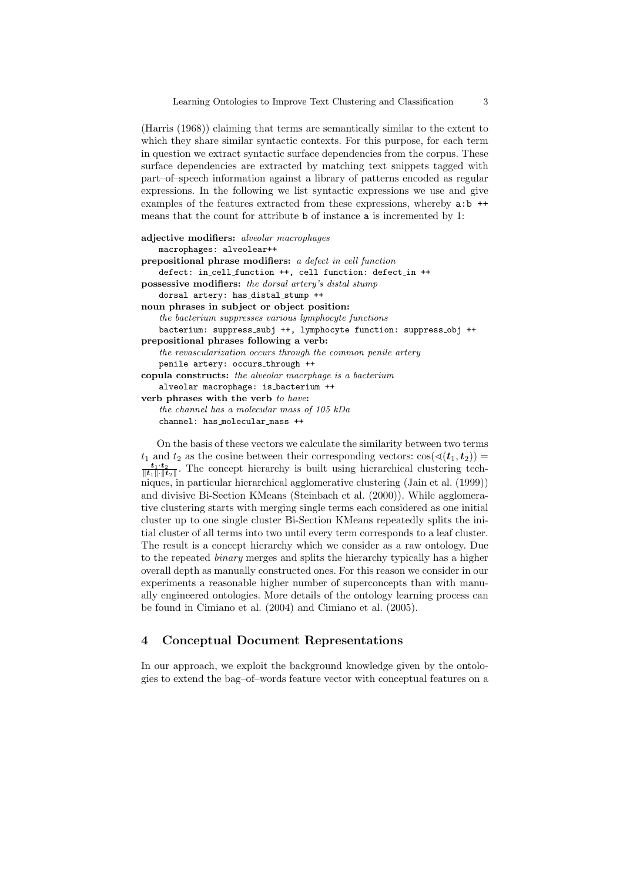(Harris (1968)) claiming that terms are semantically similar to the extent to which they share similar syntactic contexts. For this purpose, for each term in question we extract syntactic surface dependencies from the corpus. These surface dependencies are extracted by matching text snippets tagged with part–of–speech information against a library of patterns encoded as regular expressions. In the following we list syntactic expressions we use and give examples of the features extracted from these expressions, whereby  $a:b$  ++ means that the count for attribute b of instance a is incremented by 1:

```
adjective modifiers: alveolar macrophages
   macrophages: alveolear++
prepositional phrase modifiers: a defect in cell function
   defect: in cell function ++, cell function: defect in ++
possessive modifiers: the dorsal artery's distal stump
   dorsal artery: has distal stump ++
noun phrases in subject or object position:
   the bacterium suppresses various lymphocyte functions
   bacterium: suppress_subj ++, lymphocyte function: suppress_obj ++
prepositional phrases following a verb:
    the revascularization occurs through the common penile artery
   penile artery: occurs_through ++
copula constructs: the alveolar macrphage is a bacterium
   alveolar macrophage: is bacterium ++
verb phrases with the verb to have:
   the channel has a molecular mass of 105 kDa
   channel: has molecular mass ++
```
On the basis of these vectors we calculate the similarity between two terms  $t_1$  and  $t_2$  as the cosine between their corresponding vectors:  $\cos(\sphericalangle(\boldsymbol{t}_1, \boldsymbol{t}_2)) =$  $\frac{t_1 \cdot t_2}{\Vert t_1 \Vert \cdot \Vert t_2 \Vert}$ . The concept hierarchy is built using hierarchical clustering techniques, in particular hierarchical agglomerative clustering (Jain et al. (1999)) and divisive Bi-Section KMeans (Steinbach et al. (2000)). While agglomerative clustering starts with merging single terms each considered as one initial cluster up to one single cluster Bi-Section KMeans repeatedly splits the initial cluster of all terms into two until every term corresponds to a leaf cluster. The result is a concept hierarchy which we consider as a raw ontology. Due to the repeated binary merges and splits the hierarchy typically has a higher overall depth as manually constructed ones. For this reason we consider in our experiments a reasonable higher number of superconcepts than with manually engineered ontologies. More details of the ontology learning process can be found in Cimiano et al. (2004) and Cimiano et al. (2005).

### 4 Conceptual Document Representations

In our approach, we exploit the background knowledge given by the ontologies to extend the bag–of–words feature vector with conceptual features on a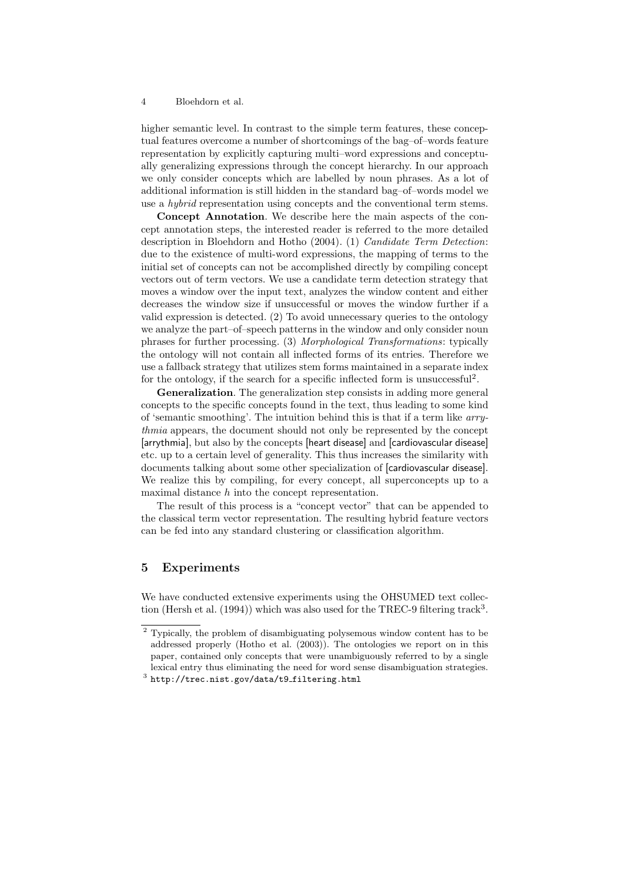higher semantic level. In contrast to the simple term features, these conceptual features overcome a number of shortcomings of the bag–of–words feature representation by explicitly capturing multi–word expressions and conceptually generalizing expressions through the concept hierarchy. In our approach we only consider concepts which are labelled by noun phrases. As a lot of additional information is still hidden in the standard bag–of–words model we use a hybrid representation using concepts and the conventional term stems.

Concept Annotation. We describe here the main aspects of the concept annotation steps, the interested reader is referred to the more detailed description in Bloehdorn and Hotho (2004). (1) Candidate Term Detection: due to the existence of multi-word expressions, the mapping of terms to the initial set of concepts can not be accomplished directly by compiling concept vectors out of term vectors. We use a candidate term detection strategy that moves a window over the input text, analyzes the window content and either decreases the window size if unsuccessful or moves the window further if a valid expression is detected. (2) To avoid unnecessary queries to the ontology we analyze the part–of–speech patterns in the window and only consider noun phrases for further processing. (3) Morphological Transformations: typically the ontology will not contain all inflected forms of its entries. Therefore we use a fallback strategy that utilizes stem forms maintained in a separate index for the ontology, if the search for a specific inflected form is unsuccessful<sup>2</sup>.

Generalization. The generalization step consists in adding more general concepts to the specific concepts found in the text, thus leading to some kind of 'semantic smoothing'. The intuition behind this is that if a term like arrythmia appears, the document should not only be represented by the concept [arrythmia], but also by the concepts [heart disease] and [cardiovascular disease] etc. up to a certain level of generality. This thus increases the similarity with documents talking about some other specialization of [cardiovascular disease]. We realize this by compiling, for every concept, all superconcepts up to a maximal distance h into the concept representation.

The result of this process is a "concept vector" that can be appended to the classical term vector representation. The resulting hybrid feature vectors can be fed into any standard clustering or classification algorithm.

# 5 Experiments

We have conducted extensive experiments using the OHSUMED text collection (Hersh et al. (1994)) which was also used for the TREC-9 filtering track<sup>3</sup>.

<sup>&</sup>lt;sup>2</sup> Typically, the problem of disambiguating polysemous window content has to be addressed properly (Hotho et al. (2003)). The ontologies we report on in this paper, contained only concepts that were unambiguously referred to by a single lexical entry thus eliminating the need for word sense disambiguation strategies.

 $^3$  http://trec.nist.gov/data/t9\_filtering.html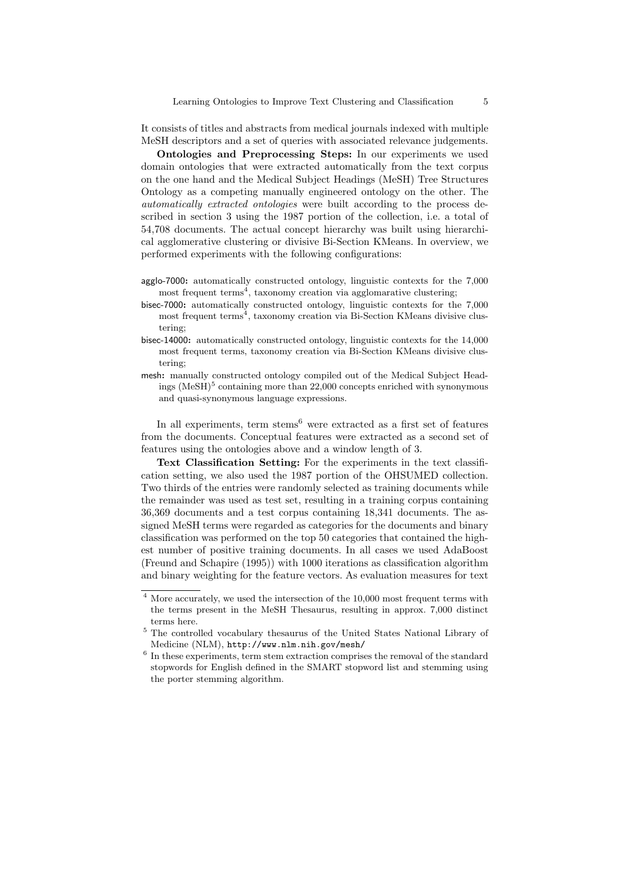It consists of titles and abstracts from medical journals indexed with multiple MeSH descriptors and a set of queries with associated relevance judgements.

Ontologies and Preprocessing Steps: In our experiments we used domain ontologies that were extracted automatically from the text corpus on the one hand and the Medical Subject Headings (MeSH) Tree Structures Ontology as a competing manually engineered ontology on the other. The automatically extracted ontologies were built according to the process described in section 3 using the 1987 portion of the collection, i.e. a total of 54,708 documents. The actual concept hierarchy was built using hierarchical agglomerative clustering or divisive Bi-Section KMeans. In overview, we performed experiments with the following configurations:

- agglo-7000: automatically constructed ontology, linguistic contexts for the 7,000 most frequent terms<sup>4</sup>, taxonomy creation via agglomarative clustering;
- bisec-7000: automatically constructed ontology, linguistic contexts for the 7,000 most frequent terms<sup>4</sup>, taxonomy creation via Bi-Section KMeans divisive clustering;
- bisec-14000: automatically constructed ontology, linguistic contexts for the 14,000 most frequent terms, taxonomy creation via Bi-Section KMeans divisive clustering;
- mesh: manually constructed ontology compiled out of the Medical Subject Headings  $(MeSH)^5$  containing more than 22,000 concepts enriched with synonymous and quasi-synonymous language expressions.

In all experiments, term stems<sup>6</sup> were extracted as a first set of features from the documents. Conceptual features were extracted as a second set of features using the ontologies above and a window length of 3.

Text Classification Setting: For the experiments in the text classification setting, we also used the 1987 portion of the OHSUMED collection. Two thirds of the entries were randomly selected as training documents while the remainder was used as test set, resulting in a training corpus containing 36,369 documents and a test corpus containing 18,341 documents. The assigned MeSH terms were regarded as categories for the documents and binary classification was performed on the top 50 categories that contained the highest number of positive training documents. In all cases we used AdaBoost (Freund and Schapire (1995)) with 1000 iterations as classification algorithm and binary weighting for the feature vectors. As evaluation measures for text

 $^4$  More accurately, we used the intersection of the  $10,\!000$  most frequent terms with the terms present in the MeSH Thesaurus, resulting in approx. 7,000 distinct terms here.

<sup>5</sup> The controlled vocabulary thesaurus of the United States National Library of Medicine (NLM), http://www.nlm.nih.gov/mesh/

<sup>6</sup> In these experiments, term stem extraction comprises the removal of the standard stopwords for English defined in the SMART stopword list and stemming using the porter stemming algorithm.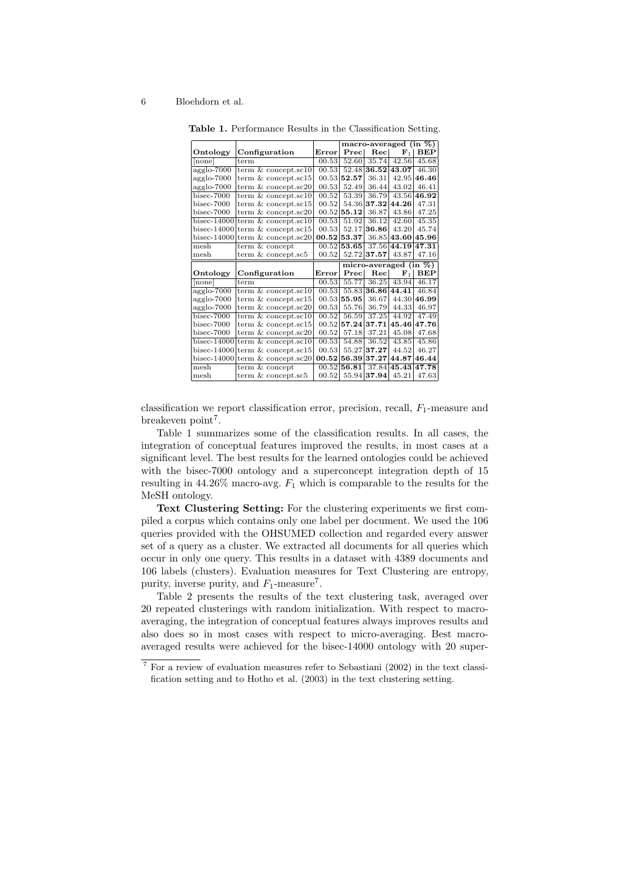|                      |                                                 |       | macro-averaged $(in %)$             |       |                    |               |  |
|----------------------|-------------------------------------------------|-------|-------------------------------------|-------|--------------------|---------------|--|
| Ontology             | Configuration                                   | Error | Prec                                | Rec   | ${\bf F}_1$        | $_{\rm{BEP}}$ |  |
| none                 | term                                            | 00.53 | 52.60                               | 35.74 | 42.56              | 45.68         |  |
| $agglo-7000$         | term $& \text{concept}.\text{sc}10$             | 00.53 | 52.48                               | 36.52 | 43.07              | 46.30         |  |
| $agglo-7000$         | term $& \text{concept}.\text{sc}15$             | 00.53 | 52.57                               | 36.31 | 42.95              | 46.46         |  |
| $agglo-7000$         | term $& \text{concept}.\text{sc}20$             | 00.53 | 52.49                               | 36.44 | 43.02              | 46.41         |  |
| $bisec-7000$         | term $&\text{concept}.\text{sc}10$              | 00.52 | 53.39                               | 36.79 | 43.56              | 46.92         |  |
| $bisec-7000$         | term $& \text{concept}.\text{sc}15$             | 00.52 | 54.36                               | 37.32 | 44.26              | 47.31         |  |
| $bisec-7000$         | term $& \text{concept}.\text{sc}20$             | 00.52 | 55.12                               | 36.87 | 43.86              | 47.25         |  |
| $bisec-14000$        | term $& \text{concept}.\text{sc}10$             | 00.53 | 51.92                               | 36.12 | $\overline{42.60}$ | 45.35         |  |
| $bisec-14000$        | term $& \text{concept}.\text{sc}15$             | 00.53 | 52.17                               | 36.86 | 43.20              | 45.74         |  |
|                      | bisec-14000 term $& \text{concept}.\text{sc}20$ | 00.52 | 53.37                               | 36.85 | 43.60              | 45.96         |  |
| mesh                 | term & concept                                  | 00.52 | 53.65                               | 37.56 | 44.19              | 47.31         |  |
| mesh                 | $term \& concept.sc5$                           | 00.52 | 52.72                               | 37.57 | 43.87              | 47.16         |  |
|                      |                                                 |       | micro-averaged (in $\sqrt[6]{\ }$ ) |       |                    |               |  |
|                      |                                                 |       |                                     |       |                    |               |  |
| Ontology             | Configuration                                   | Error | Prec                                | Rec   | ${\bf F}_1$        | <b>BEP</b>    |  |
| none                 | term                                            | 00.53 | 55.77                               | 36.25 | 43.94              | 46.17         |  |
| $agglo-7000$         | term $& \text{concept}.\text{sc}10$             | 00.53 | 55.83                               | 36.86 | 44.41              | 46.84         |  |
| $agglo-7000$         | term $& \text{concept}.\text{sc}15$             | 00.53 | 55.95                               | 36.67 | 44.30              | 46.99         |  |
|                      | term $& \text{concept}.\text{sc}20$             | 00.53 | 55.76                               | 36.79 | 44.33              | 46.97         |  |
| $bisec-7000$         | term $&\text{concept}.\text{sc}10$              | 00.52 | 56.59                               | 37.25 | 44.92              | 47.49         |  |
| $bisec-7000$         | term $& \text{concept}.\text{sc}15$             | 00.52 | 57.24                               | 37.71 | 45.46              | 47.76         |  |
| $bisec-7000$         | term & concept.sc20                             | 00.52 | 57.18                               | 37.21 | 45.08              | 47.68         |  |
| $bisec-14000$        | term $&\text{concept}.\text{sc}10$              | 00.53 | 54.88                               | 36.52 | 43.85              | 45.86         |  |
| $bisec-14000$        | term $&\text{concept}.\text{sc}15$              | 00.53 | 55.27                               | 37.27 | 44.52              | 46.27         |  |
| $bisec-14000$        | term $&\text{concept}.\text{sc}20$              | 00.52 | 56.39                               | 37.27 | 44.87              | 46.44         |  |
| $agglo-7000$<br>mesh | term & concept                                  | 00.52 | 56.81                               | 37.84 | 45.43              | 47.78         |  |

Table 1. Performance Results in the Classification Setting.

classification we report classification error, precision, recall,  $F_1$ -measure and breakeven point<sup>7</sup>.

Table 1 summarizes some of the classification results. In all cases, the integration of conceptual features improved the results, in most cases at a significant level. The best results for the learned ontologies could be achieved with the bisec-7000 ontology and a superconcept integration depth of 15 resulting in 44.26% macro-avg.  $F_1$  which is comparable to the results for the MeSH ontology.

Text Clustering Setting: For the clustering experiments we first compiled a corpus which contains only one label per document. We used the 106 queries provided with the OHSUMED collection and regarded every answer set of a query as a cluster. We extracted all documents for all queries which occur in only one query. This results in a dataset with 4389 documents and 106 labels (clusters). Evaluation measures for Text Clustering are entropy, purity, inverse purity, and  $F_1$ -measure<sup>7</sup>.

Table 2 presents the results of the text clustering task, averaged over 20 repeated clusterings with random initialization. With respect to macroaveraging, the integration of conceptual features always improves results and also does so in most cases with respect to micro-averaging. Best macroaveraged results were achieved for the bisec-14000 ontology with 20 super-

<sup>7</sup> For a review of evaluation measures refer to Sebastiani (2002) in the text classification setting and to Hotho et al. (2003) in the text clustering setting.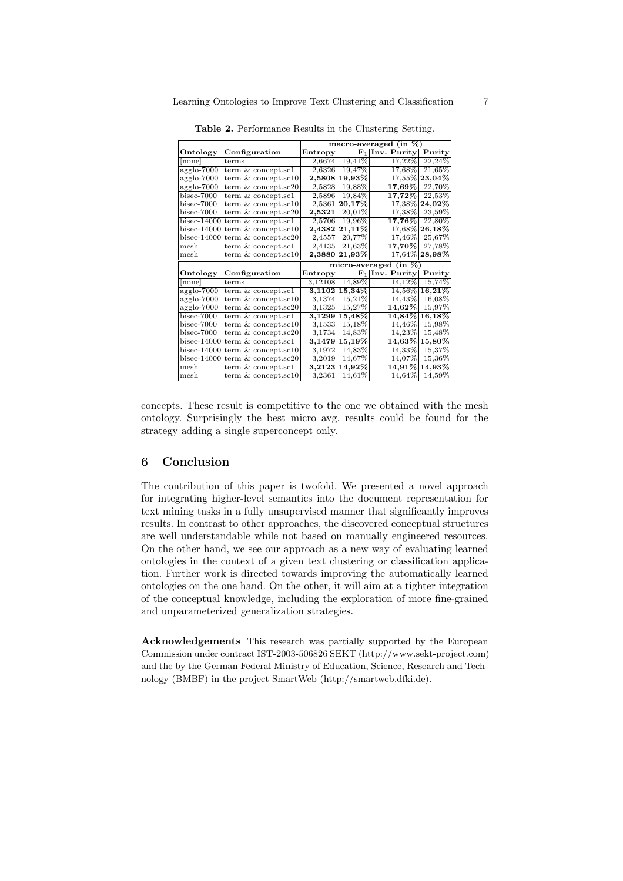|               |                                                              | macro-averaged (in %) |                     |                            |                               |  |
|---------------|--------------------------------------------------------------|-----------------------|---------------------|----------------------------|-------------------------------|--|
| Ontology      | Configuration                                                | Entropy               |                     | $\mathbf{F}_1$ Inv. Purity | <b>Purity</b>                 |  |
| [none         | terms                                                        | 2,6674                | 19,41%              | 17,22%                     | 22,24%                        |  |
| $agglo-7000$  | term $&\text{concept}.\text{sc}1$                            | 2,6326                | 19,47%              | 17,68%                     | 21,65%                        |  |
| $agglo-7000$  | term $& \text{concept}.\text{sc}10$                          | 2,5808                | 19,93%              | 17,55%                     | 23,04%                        |  |
| $agglo-7000$  | term $& \text{concept}.\text{sc}20$                          | 2,5828                | 19,88%              | $17{,}69\%$                | 22,70%                        |  |
| $bisec-7000$  | term $& \text{concept}.\text{sc}1$                           | 2.5896                | 19.84%              | 17,72%                     | 22,53%                        |  |
| $bisec-7000$  | term $& \text{concept}.\text{sc}10$                          | 2,5361                | $20,17\%$           | 17,38%                     | $24.02\%$                     |  |
| $bisec-7000$  | term $& \text{concept}.\text{sc}20$                          | 2,5321                | 20,01%              | 17,38%                     | 23,59%                        |  |
| $bisec-14000$ | term $& \text{concept}.\text{sc}1$                           | 2,5706                | 19,96%              | 17,76%                     | 22,80%                        |  |
|               | bisec-14000 term $& \text{concept}.\text{sc}10$              | 2.4382                | $21.11\%$           | 17.68%                     | $26,18\%$                     |  |
| $bisec-14000$ | term & concept.sc20                                          | 2,4557                | 20,77%              | 17,46%                     | 25,67%                        |  |
| mesh          | term $& \text{concept}.\text{sc}1$                           | 2.4135                | 21,63%              | 17,70%                     | 27,78%                        |  |
| mesh          | term $& \text{concept}.\text{sc}10$                          |                       | 2,3880 21,93%       | 17,64%                     | 28,98%                        |  |
|               |                                                              | micro-averaged (in %) |                     |                            |                               |  |
|               |                                                              |                       |                     |                            |                               |  |
| Ontology      | Configuration                                                | Entropy               |                     | $F_1$ Inv. Purity          | Purity                        |  |
| nonel         | terms                                                        | 3,12108               | 14,89%              | 14,12%                     | 15,74%                        |  |
| $agglo-7000$  | term $& \text{concept}.\text{sc}1$                           | 3.1102                | 15,34%              | 14.56%                     |                               |  |
| $agglo-7000$  | term $& \text{concept}.\text{sc}10$                          | 3,1374                | 15,21%              | 14,43%                     | 16,21%<br>16,08%              |  |
| $agglo-7000$  | term $& \text{concept}.\text{sc}20$                          | 3,1325                | 15,27%              | 14,62%                     | 15,97%                        |  |
| $bisec-7000$  | $term$ & concept.sc1                                         | 3,1299                | $15,48\%$           | $14.84\%$                  |                               |  |
| $bisec-7000$  | term $& \text{concept}.\text{sc}10$                          | 3,1533                | 15.18%              | 14,46%                     |                               |  |
| $bisec-7000$  | term $& \text{concept}.\text{sc}20$                          | 3,1734                | 14.83%              | 14,23%                     | $16.18\%$<br>15,98%<br>15,48% |  |
| $bisec-14000$ | term $& \text{concept}.\text{sc}1$                           | 3,1479                | $15.19\%$           | $14.63\%$                  | $15{,}80\%$                   |  |
|               | bisec-14000 term $\&$ concept.sc10                           | 3,1972                | 14,83%              | 14,33%                     |                               |  |
| $bisec-14000$ | term & concept.sc20                                          | 3,2019                | 14,67%              | 14.07%                     | 15,37%<br>15,36%              |  |
| mesh<br>mesh  | term $& \text{concept}.\text{sc}1$<br>term $\&$ concept.sc10 | 3,2123<br>3,2361      | $14.92\%$<br>14,61% | $14.91\%$<br>14,64%        | $14.93\%$<br>14,59%           |  |

Table 2. Performance Results in the Clustering Setting.

concepts. These result is competitive to the one we obtained with the mesh ontology. Surprisingly the best micro avg. results could be found for the strategy adding a single superconcept only.

### 6 Conclusion

The contribution of this paper is twofold. We presented a novel approach for integrating higher-level semantics into the document representation for text mining tasks in a fully unsupervised manner that significantly improves results. In contrast to other approaches, the discovered conceptual structures are well understandable while not based on manually engineered resources. On the other hand, we see our approach as a new way of evaluating learned ontologies in the context of a given text clustering or classification application. Further work is directed towards improving the automatically learned ontologies on the one hand. On the other, it will aim at a tighter integration of the conceptual knowledge, including the exploration of more fine-grained and unparameterized generalization strategies.

Acknowledgements This research was partially supported by the European Commission under contract IST-2003-506826 SEKT (http://www.sekt-project.com) and the by the German Federal Ministry of Education, Science, Research and Technology (BMBF) in the project SmartWeb (http://smartweb.dfki.de).